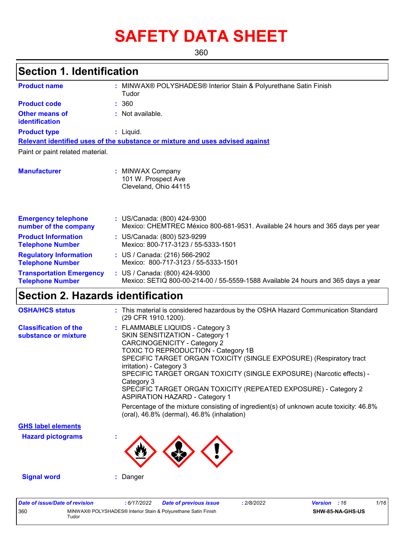# **SAFETY DATA SHEET**

360

### **Section 1. Identification**

| <b>Product name</b>                                        | : MINWAX® POLYSHADES® Interior Stain & Polyurethane Satin Finish<br>Tudor                                          |
|------------------------------------------------------------|--------------------------------------------------------------------------------------------------------------------|
| <b>Product code</b>                                        | : 360                                                                                                              |
| <b>Other means of</b><br>identification                    | : Not available.                                                                                                   |
| <b>Product type</b>                                        | $:$ Liquid.                                                                                                        |
|                                                            | Relevant identified uses of the substance or mixture and uses advised against                                      |
| Paint or paint related material.                           |                                                                                                                    |
| <b>Manufacturer</b>                                        | <b>MINWAX Company</b><br>101 W. Prospect Ave<br>Cleveland, Ohio 44115                                              |
| <b>Emergency telephone</b><br>number of the company        | : US/Canada: (800) 424-9300<br>Mexico: CHEMTREC México 800-681-9531. Available 24 hours and 365 days per year      |
| <b>Product Information</b><br><b>Telephone Number</b>      | : US/Canada: (800) 523-9299<br>Mexico: 800-717-3123 / 55-5333-1501                                                 |
| <b>Regulatory Information</b><br><b>Telephone Number</b>   | : US / Canada: (216) 566-2902<br>Mexico: 800-717-3123 / 55-5333-1501                                               |
| <b>Transportation Emergency</b><br><b>Telephone Number</b> | : US / Canada: (800) 424-9300<br>Mexico: SETIQ 800-00-214-00 / 55-5559-1588 Available 24 hours and 365 days a year |

### **Section 2. Hazards identification**

| <b>OSHA/HCS status</b>                               | : This material is considered hazardous by the OSHA Hazard Communication Standard<br>(29 CFR 1910.1200).                                                                                                                                                                                                                                                                                                                                                                                                                                                                                        |
|------------------------------------------------------|-------------------------------------------------------------------------------------------------------------------------------------------------------------------------------------------------------------------------------------------------------------------------------------------------------------------------------------------------------------------------------------------------------------------------------------------------------------------------------------------------------------------------------------------------------------------------------------------------|
| <b>Classification of the</b><br>substance or mixture | : FLAMMABLE LIQUIDS - Category 3<br>SKIN SENSITIZATION - Category 1<br><b>CARCINOGENICITY - Category 2</b><br>TOXIC TO REPRODUCTION - Category 1B<br>SPECIFIC TARGET ORGAN TOXICITY (SINGLE EXPOSURE) (Respiratory tract<br>irritation) - Category 3<br>SPECIFIC TARGET ORGAN TOXICITY (SINGLE EXPOSURE) (Narcotic effects) -<br>Category 3<br>SPECIFIC TARGET ORGAN TOXICITY (REPEATED EXPOSURE) - Category 2<br><b>ASPIRATION HAZARD - Category 1</b><br>Percentage of the mixture consisting of ingredient(s) of unknown acute toxicity: 46.8%<br>(oral), 46.8% (dermal), 46.8% (inhalation) |
| <b>GHS label elements</b>                            |                                                                                                                                                                                                                                                                                                                                                                                                                                                                                                                                                                                                 |
| <b>Hazard pictograms</b>                             |                                                                                                                                                                                                                                                                                                                                                                                                                                                                                                                                                                                                 |
| <b>Signal word</b>                                   | Danger                                                                                                                                                                                                                                                                                                                                                                                                                                                                                                                                                                                          |

| Date of issue/Date of revision |       | 6/17/2022 | <b>Date of previous issue</b>                                  | 2/8/2022 | <b>Version</b> : 16 |                         | 1/16 |
|--------------------------------|-------|-----------|----------------------------------------------------------------|----------|---------------------|-------------------------|------|
| 360                            | Tudor |           | MINWAX® POLYSHADES® Interior Stain & Polyurethane Satin Finish |          |                     | <b>SHW-85-NA-GHS-US</b> |      |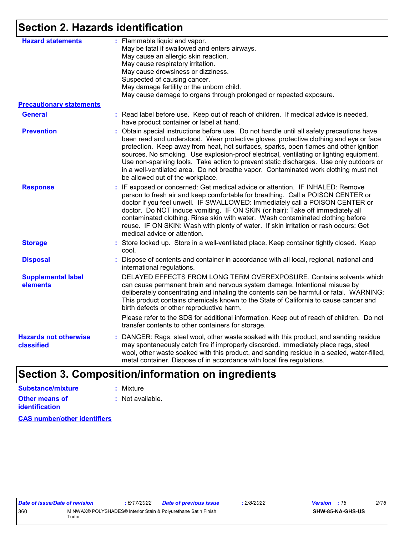### **Section 2. Hazards identification**

| <b>Hazard statements</b>                   | : Flammable liquid and vapor.<br>May be fatal if swallowed and enters airways.<br>May cause an allergic skin reaction.<br>May cause respiratory irritation.<br>May cause drowsiness or dizziness.<br>Suspected of causing cancer.<br>May damage fertility or the unborn child.<br>May cause damage to organs through prolonged or repeated exposure.                                                                                                                                                                                                                                         |
|--------------------------------------------|----------------------------------------------------------------------------------------------------------------------------------------------------------------------------------------------------------------------------------------------------------------------------------------------------------------------------------------------------------------------------------------------------------------------------------------------------------------------------------------------------------------------------------------------------------------------------------------------|
| <b>Precautionary statements</b>            |                                                                                                                                                                                                                                                                                                                                                                                                                                                                                                                                                                                              |
| <b>General</b>                             | : Read label before use. Keep out of reach of children. If medical advice is needed,<br>have product container or label at hand.                                                                                                                                                                                                                                                                                                                                                                                                                                                             |
| <b>Prevention</b>                          | : Obtain special instructions before use. Do not handle until all safety precautions have<br>been read and understood. Wear protective gloves, protective clothing and eye or face<br>protection. Keep away from heat, hot surfaces, sparks, open flames and other ignition<br>sources. No smoking. Use explosion-proof electrical, ventilating or lighting equipment.<br>Use non-sparking tools. Take action to prevent static discharges. Use only outdoors or<br>in a well-ventilated area. Do not breathe vapor. Contaminated work clothing must not<br>be allowed out of the workplace. |
| <b>Response</b>                            | : IF exposed or concerned: Get medical advice or attention. IF INHALED: Remove<br>person to fresh air and keep comfortable for breathing. Call a POISON CENTER or<br>doctor if you feel unwell. IF SWALLOWED: Immediately call a POISON CENTER or<br>doctor. Do NOT induce vomiting. IF ON SKIN (or hair): Take off immediately all<br>contaminated clothing. Rinse skin with water. Wash contaminated clothing before<br>reuse. IF ON SKIN: Wash with plenty of water. If skin irritation or rash occurs: Get<br>medical advice or attention.                                               |
| <b>Storage</b>                             | : Store locked up. Store in a well-ventilated place. Keep container tightly closed. Keep<br>cool.                                                                                                                                                                                                                                                                                                                                                                                                                                                                                            |
| <b>Disposal</b>                            | Dispose of contents and container in accordance with all local, regional, national and<br>international regulations.                                                                                                                                                                                                                                                                                                                                                                                                                                                                         |
| <b>Supplemental label</b><br>elements      | DELAYED EFFECTS FROM LONG TERM OVEREXPOSURE. Contains solvents which<br>can cause permanent brain and nervous system damage. Intentional misuse by<br>deliberately concentrating and inhaling the contents can be harmful or fatal. WARNING:<br>This product contains chemicals known to the State of California to cause cancer and<br>birth defects or other reproductive harm.                                                                                                                                                                                                            |
|                                            | Please refer to the SDS for additional information. Keep out of reach of children. Do not<br>transfer contents to other containers for storage.                                                                                                                                                                                                                                                                                                                                                                                                                                              |
| <b>Hazards not otherwise</b><br>classified | : DANGER: Rags, steel wool, other waste soaked with this product, and sanding residue<br>may spontaneously catch fire if improperly discarded. Immediately place rags, steel<br>wool, other waste soaked with this product, and sanding residue in a sealed, water-filled,<br>metal container. Dispose of in accordance with local fire regulations.                                                                                                                                                                                                                                         |
|                                            |                                                                                                                                                                                                                                                                                                                                                                                                                                                                                                                                                                                              |

# **Section 3. Composition/information on ingredients**

| Substance/mixture     | : Mixture                   |
|-----------------------|-----------------------------|
| Other means of        | $\therefore$ Not available. |
| <i>identification</i> |                             |

**CAS number/other identifiers**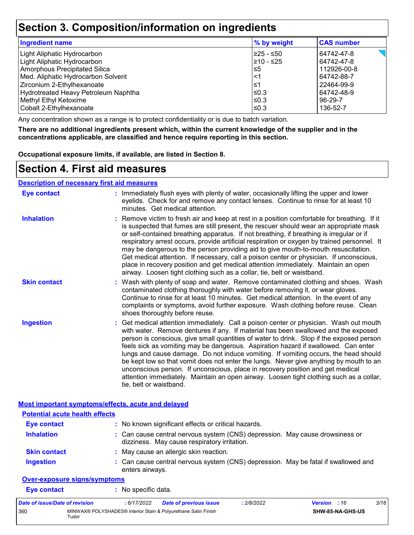### **Section 3. Composition/information on ingredients**

| Ingredient name                      | % by weight | <b>CAS number</b> |
|--------------------------------------|-------------|-------------------|
| Light Aliphatic Hydrocarbon          | 225 - ≤50   | 64742-47-8        |
| Light Aliphatic Hydrocarbon          | 210 - ≤25   | 64742-47-8        |
| Amorphous Precipitated Silica        | l≤5         | 112926-00-8       |
| Med. Aliphatic Hydrocarbon Solvent   | $<$ 1       | 64742-88-7        |
| Zirconium 2-Ethylhexanoate           | ≤1          | 22464-99-9        |
| Hydrotreated Heavy Petroleum Naphtha | l≤0.3       | 64742-48-9        |
| Methyl Ethyl Ketoxime                | l≤0.3       | 96-29-7           |
| Cobalt 2-Ethylhexanoate              | l≤0.3       | 136-52-7          |

Any concentration shown as a range is to protect confidentiality or is due to batch variation.

**There are no additional ingredients present which, within the current knowledge of the supplier and in the concentrations applicable, are classified and hence require reporting in this section.**

**Occupational exposure limits, if available, are listed in Section 8.**

### **Section 4. First aid measures**

|--|

Tudor

| <b>Eye contact</b>                                 | : Immediately flush eyes with plenty of water, occasionally lifting the upper and lower<br>eyelids. Check for and remove any contact lenses. Continue to rinse for at least 10<br>minutes. Get medical attention.                                                                                                                                                                                                                                                                                                                                                                                                                                                                                                                                       |
|----------------------------------------------------|---------------------------------------------------------------------------------------------------------------------------------------------------------------------------------------------------------------------------------------------------------------------------------------------------------------------------------------------------------------------------------------------------------------------------------------------------------------------------------------------------------------------------------------------------------------------------------------------------------------------------------------------------------------------------------------------------------------------------------------------------------|
| <b>Inhalation</b>                                  | : Remove victim to fresh air and keep at rest in a position comfortable for breathing. If it<br>is suspected that fumes are still present, the rescuer should wear an appropriate mask<br>or self-contained breathing apparatus. If not breathing, if breathing is irregular or if<br>respiratory arrest occurs, provide artificial respiration or oxygen by trained personnel. It<br>may be dangerous to the person providing aid to give mouth-to-mouth resuscitation.<br>Get medical attention. If necessary, call a poison center or physician. If unconscious,<br>place in recovery position and get medical attention immediately. Maintain an open<br>airway. Loosen tight clothing such as a collar, tie, belt or waistband.                    |
| <b>Skin contact</b>                                | : Wash with plenty of soap and water. Remove contaminated clothing and shoes. Wash<br>contaminated clothing thoroughly with water before removing it, or wear gloves.<br>Continue to rinse for at least 10 minutes. Get medical attention. In the event of any<br>complaints or symptoms, avoid further exposure. Wash clothing before reuse. Clean<br>shoes thoroughly before reuse.                                                                                                                                                                                                                                                                                                                                                                   |
| <b>Ingestion</b>                                   | : Get medical attention immediately. Call a poison center or physician. Wash out mouth<br>with water. Remove dentures if any. If material has been swallowed and the exposed<br>person is conscious, give small quantities of water to drink. Stop if the exposed person<br>feels sick as vomiting may be dangerous. Aspiration hazard if swallowed. Can enter<br>lungs and cause damage. Do not induce vomiting. If vomiting occurs, the head should<br>be kept low so that vomit does not enter the lungs. Never give anything by mouth to an<br>unconscious person. If unconscious, place in recovery position and get medical<br>attention immediately. Maintain an open airway. Loosen tight clothing such as a collar,<br>tie, belt or waistband. |
| Most important symptoms/effects, acute and delayed |                                                                                                                                                                                                                                                                                                                                                                                                                                                                                                                                                                                                                                                                                                                                                         |
| <b>Potential acute health effects</b>              |                                                                                                                                                                                                                                                                                                                                                                                                                                                                                                                                                                                                                                                                                                                                                         |
| <b>Eye contact</b>                                 | : No known significant effects or critical hazards.                                                                                                                                                                                                                                                                                                                                                                                                                                                                                                                                                                                                                                                                                                     |
| <b>Inhalation</b>                                  | : Can cause central nervous system (CNS) depression. May cause drowsiness or<br>dizziness. May cause respiratory irritation.                                                                                                                                                                                                                                                                                                                                                                                                                                                                                                                                                                                                                            |
| <b>Skin contact</b>                                | : May cause an allergic skin reaction.                                                                                                                                                                                                                                                                                                                                                                                                                                                                                                                                                                                                                                                                                                                  |
| <b>Ingestion</b>                                   | : Can cause central nervous system (CNS) depression. May be fatal if swallowed and<br>enters airways.                                                                                                                                                                                                                                                                                                                                                                                                                                                                                                                                                                                                                                                   |
| <b>Over-exposure signs/symptoms</b>                |                                                                                                                                                                                                                                                                                                                                                                                                                                                                                                                                                                                                                                                                                                                                                         |
|                                                    |                                                                                                                                                                                                                                                                                                                                                                                                                                                                                                                                                                                                                                                                                                                                                         |
| <b>Eye contact</b>                                 | : No specific data.                                                                                                                                                                                                                                                                                                                                                                                                                                                                                                                                                                                                                                                                                                                                     |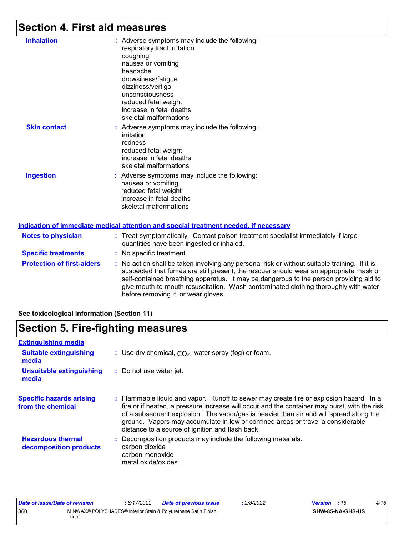# **Section 4. First aid measures**

| <b>Inhalation</b>          | : Adverse symptoms may include the following:<br>respiratory tract irritation<br>coughing<br>nausea or vomiting<br>headache<br>drowsiness/fatigue<br>dizziness/vertigo<br>unconsciousness<br>reduced fetal weight<br>increase in fetal deaths<br>skeletal malformations |
|----------------------------|-------------------------------------------------------------------------------------------------------------------------------------------------------------------------------------------------------------------------------------------------------------------------|
| <b>Skin contact</b>        | : Adverse symptoms may include the following:<br>irritation<br>redness<br>reduced fetal weight<br>increase in fetal deaths<br>skeletal malformations                                                                                                                    |
| <b>Ingestion</b>           | : Adverse symptoms may include the following:<br>nausea or vomiting<br>reduced fetal weight<br>increase in fetal deaths<br>skeletal malformations                                                                                                                       |
|                            | Indication of immediate medical attention and special treatment needed, if necessary                                                                                                                                                                                    |
| <b>Notes to physician</b>  | Treat symptomatically. Contact poison treatment specialist immediately if large<br>quantities have been ingested or inhaled.                                                                                                                                            |
| <b>Specific treatments</b> | : No specific treatment.                                                                                                                                                                                                                                                |

**Protection of first-aiders** : No action shall be taken involving any personal risk or without suitable training. If it is suspected that fumes are still present, the rescuer should wear an appropriate mask or self-contained breathing apparatus. It may be dangerous to the person providing aid to give mouth-to-mouth resuscitation. Wash contaminated clothing thoroughly with water before removing it, or wear gloves.

#### **See toxicological information (Section 11)**

### **Section 5. Fire-fighting measures**

| <b>Extinguishing media</b>                           |                                                                                                                                                                                                                                                                                                                                                                                                                          |
|------------------------------------------------------|--------------------------------------------------------------------------------------------------------------------------------------------------------------------------------------------------------------------------------------------------------------------------------------------------------------------------------------------------------------------------------------------------------------------------|
| <b>Suitable extinguishing</b><br>media               | : Use dry chemical, $CO2$ , water spray (fog) or foam.                                                                                                                                                                                                                                                                                                                                                                   |
| <b>Unsuitable extinguishing</b><br>media             | : Do not use water jet.                                                                                                                                                                                                                                                                                                                                                                                                  |
| <b>Specific hazards arising</b><br>from the chemical | : Flammable liquid and vapor. Runoff to sewer may create fire or explosion hazard. In a<br>fire or if heated, a pressure increase will occur and the container may burst, with the risk<br>of a subsequent explosion. The vapor/gas is heavier than air and will spread along the<br>ground. Vapors may accumulate in low or confined areas or travel a considerable<br>distance to a source of ignition and flash back. |
| <b>Hazardous thermal</b><br>decomposition products   | Decomposition products may include the following materials:<br>carbon dioxide<br>carbon monoxide<br>metal oxide/oxides                                                                                                                                                                                                                                                                                                   |

| Date of issue/Date of revision |       | : 6/17/2022 | <b>Date of previous issue</b>                                  | : 2/8/2022 | <b>Version</b> : 16 |                         | 4/16 |
|--------------------------------|-------|-------------|----------------------------------------------------------------|------------|---------------------|-------------------------|------|
| 360                            | Tudor |             | MINWAX® POLYSHADES® Interior Stain & Polyurethane Satin Finish |            |                     | <b>SHW-85-NA-GHS-US</b> |      |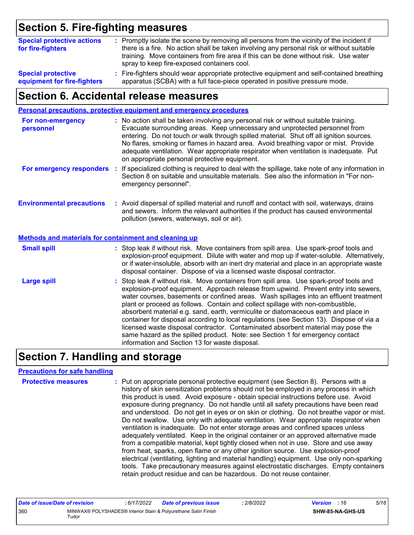# **Section 5. Fire-fighting measures**

| <b>Special protective actions</b><br>for fire-fighters | : Promptly isolate the scene by removing all persons from the vicinity of the incident if<br>there is a fire. No action shall be taken involving any personal risk or without suitable<br>training. Move containers from fire area if this can be done without risk. Use water<br>spray to keep fire-exposed containers cool. |
|--------------------------------------------------------|-------------------------------------------------------------------------------------------------------------------------------------------------------------------------------------------------------------------------------------------------------------------------------------------------------------------------------|
| <b>Special protective</b>                              | : Fire-fighters should wear appropriate protective equipment and self-contained breathing                                                                                                                                                                                                                                     |
| equipment for fire-fighters                            | apparatus (SCBA) with a full face-piece operated in positive pressure mode.                                                                                                                                                                                                                                                   |

### **Section 6. Accidental release measures**

|                                                       | Personal precautions, protective equipment and emergency procedures                                                                                                                                                                                                                                                                                                                                                                                                                                                                                                                                                                                                                                                                                                  |
|-------------------------------------------------------|----------------------------------------------------------------------------------------------------------------------------------------------------------------------------------------------------------------------------------------------------------------------------------------------------------------------------------------------------------------------------------------------------------------------------------------------------------------------------------------------------------------------------------------------------------------------------------------------------------------------------------------------------------------------------------------------------------------------------------------------------------------------|
| For non-emergency<br>personnel                        | : No action shall be taken involving any personal risk or without suitable training.<br>Evacuate surrounding areas. Keep unnecessary and unprotected personnel from<br>entering. Do not touch or walk through spilled material. Shut off all ignition sources.<br>No flares, smoking or flames in hazard area. Avoid breathing vapor or mist. Provide<br>adequate ventilation. Wear appropriate respirator when ventilation is inadequate. Put<br>on appropriate personal protective equipment.                                                                                                                                                                                                                                                                      |
| For emergency responders :                            | If specialized clothing is required to deal with the spillage, take note of any information in<br>Section 8 on suitable and unsuitable materials. See also the information in "For non-<br>emergency personnel".                                                                                                                                                                                                                                                                                                                                                                                                                                                                                                                                                     |
| <b>Environmental precautions</b>                      | : Avoid dispersal of spilled material and runoff and contact with soil, waterways, drains<br>and sewers. Inform the relevant authorities if the product has caused environmental<br>pollution (sewers, waterways, soil or air).                                                                                                                                                                                                                                                                                                                                                                                                                                                                                                                                      |
| Methods and materials for containment and cleaning up |                                                                                                                                                                                                                                                                                                                                                                                                                                                                                                                                                                                                                                                                                                                                                                      |
| <b>Small spill</b>                                    | : Stop leak if without risk. Move containers from spill area. Use spark-proof tools and<br>explosion-proof equipment. Dilute with water and mop up if water-soluble. Alternatively,<br>or if water-insoluble, absorb with an inert dry material and place in an appropriate waste<br>disposal container. Dispose of via a licensed waste disposal contractor.                                                                                                                                                                                                                                                                                                                                                                                                        |
| <b>Large spill</b>                                    | : Stop leak if without risk. Move containers from spill area. Use spark-proof tools and<br>explosion-proof equipment. Approach release from upwind. Prevent entry into sewers,<br>water courses, basements or confined areas. Wash spillages into an effluent treatment<br>plant or proceed as follows. Contain and collect spillage with non-combustible,<br>absorbent material e.g. sand, earth, vermiculite or diatomaceous earth and place in<br>container for disposal according to local regulations (see Section 13). Dispose of via a<br>licensed waste disposal contractor. Contaminated absorbent material may pose the<br>same hazard as the spilled product. Note: see Section 1 for emergency contact<br>information and Section 13 for waste disposal. |

# **Section 7. Handling and storage**

#### **Precautions for safe handling**

| <b>Protective measures</b> | : Put on appropriate personal protective equipment (see Section 8). Persons with a<br>history of skin sensitization problems should not be employed in any process in which<br>this product is used. Avoid exposure - obtain special instructions before use. Avoid<br>exposure during pregnancy. Do not handle until all safety precautions have been read<br>and understood. Do not get in eyes or on skin or clothing. Do not breathe vapor or mist.<br>Do not swallow. Use only with adequate ventilation. Wear appropriate respirator when<br>ventilation is inadequate. Do not enter storage areas and confined spaces unless<br>adequately ventilated. Keep in the original container or an approved alternative made<br>from a compatible material, kept tightly closed when not in use. Store and use away<br>from heat, sparks, open flame or any other ignition source. Use explosion-proof<br>electrical (ventilating, lighting and material handling) equipment. Use only non-sparking<br>tools. Take precautionary measures against electrostatic discharges. Empty containers |
|----------------------------|----------------------------------------------------------------------------------------------------------------------------------------------------------------------------------------------------------------------------------------------------------------------------------------------------------------------------------------------------------------------------------------------------------------------------------------------------------------------------------------------------------------------------------------------------------------------------------------------------------------------------------------------------------------------------------------------------------------------------------------------------------------------------------------------------------------------------------------------------------------------------------------------------------------------------------------------------------------------------------------------------------------------------------------------------------------------------------------------|
|                            | retain product residue and can be hazardous. Do not reuse container.                                                                                                                                                                                                                                                                                                                                                                                                                                                                                                                                                                                                                                                                                                                                                                                                                                                                                                                                                                                                                         |

| Date of issue/Date of revision |       | 6/17/2022 | <b>Date of previous issue</b>                                  | : 2/8/2022 | <b>Version</b> : 16 |                  | 5/16 |
|--------------------------------|-------|-----------|----------------------------------------------------------------|------------|---------------------|------------------|------|
| 360                            | Tudor |           | MINWAX® POLYSHADES® Interior Stain & Polyurethane Satin Finish |            |                     | SHW-85-NA-GHS-US |      |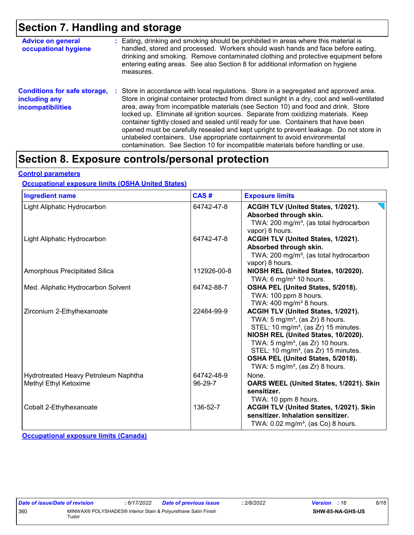### **Section 7. Handling and storage**

| <b>Advice on general</b><br>occupational hygiene                                 | : Eating, drinking and smoking should be prohibited in areas where this material is<br>handled, stored and processed. Workers should wash hands and face before eating,<br>drinking and smoking. Remove contaminated clothing and protective equipment before<br>entering eating areas. See also Section 8 for additional information on hygiene<br>measures.                                                                                                                                                                                                                                                                                                                                                      |
|----------------------------------------------------------------------------------|--------------------------------------------------------------------------------------------------------------------------------------------------------------------------------------------------------------------------------------------------------------------------------------------------------------------------------------------------------------------------------------------------------------------------------------------------------------------------------------------------------------------------------------------------------------------------------------------------------------------------------------------------------------------------------------------------------------------|
| <b>Conditions for safe storage,</b><br>including any<br><b>incompatibilities</b> | : Store in accordance with local regulations. Store in a segregated and approved area.<br>Store in original container protected from direct sunlight in a dry, cool and well-ventilated<br>area, away from incompatible materials (see Section 10) and food and drink. Store<br>locked up. Eliminate all ignition sources. Separate from oxidizing materials. Keep<br>container tightly closed and sealed until ready for use. Containers that have been<br>opened must be carefully resealed and kept upright to prevent leakage. Do not store in<br>unlabeled containers. Use appropriate containment to avoid environmental<br>contamination. See Section 10 for incompatible materials before handling or use. |

### **Section 8. Exposure controls/personal protection**

#### **Control parameters**

#### **Occupational exposure limits (OSHA United States)**

| <b>Ingredient name</b>                                        | CAS#                  | <b>Exposure limits</b>                                                                                                                                                                                                                                                                                                                                            |
|---------------------------------------------------------------|-----------------------|-------------------------------------------------------------------------------------------------------------------------------------------------------------------------------------------------------------------------------------------------------------------------------------------------------------------------------------------------------------------|
| Light Aliphatic Hydrocarbon                                   | 64742-47-8            | ACGIH TLV (United States, 1/2021).<br>Absorbed through skin.<br>TWA: 200 mg/m <sup>3</sup> , (as total hydrocarbon<br>vapor) 8 hours.                                                                                                                                                                                                                             |
| Light Aliphatic Hydrocarbon                                   | 64742-47-8            | ACGIH TLV (United States, 1/2021).<br>Absorbed through skin.<br>TWA: 200 mg/m <sup>3</sup> , (as total hydrocarbon<br>vapor) 8 hours.                                                                                                                                                                                                                             |
| Amorphous Precipitated Silica                                 | 112926-00-8           | NIOSH REL (United States, 10/2020).<br>TWA: 6 mg/m <sup>3</sup> 10 hours.                                                                                                                                                                                                                                                                                         |
| Med. Aliphatic Hydrocarbon Solvent                            | 64742-88-7            | OSHA PEL (United States, 5/2018).<br>TWA: 100 ppm 8 hours.<br>TWA: $400 \text{ mg/m}^3$ 8 hours.                                                                                                                                                                                                                                                                  |
| Zirconium 2-Ethylhexanoate                                    | 22464-99-9            | ACGIH TLV (United States, 1/2021).<br>TWA: $5 \text{ mg/m}^3$ , (as Zr) 8 hours.<br>STEL: 10 mg/m <sup>3</sup> , (as Zr) 15 minutes.<br>NIOSH REL (United States, 10/2020).<br>TWA: $5 \text{ mg/m}^3$ , (as Zr) 10 hours.<br>STEL: 10 mg/m <sup>3</sup> , (as Zr) 15 minutes.<br>OSHA PEL (United States, 5/2018).<br>TWA: $5 \text{ mg/m}^3$ , (as Zr) 8 hours. |
| Hydrotreated Heavy Petroleum Naphtha<br>Methyl Ethyl Ketoxime | 64742-48-9<br>96-29-7 | None.<br>OARS WEEL (United States, 1/2021). Skin<br>sensitizer.<br>TWA: 10 ppm 8 hours.                                                                                                                                                                                                                                                                           |
| Cobalt 2-Ethylhexanoate                                       | 136-52-7              | ACGIH TLV (United States, 1/2021). Skin<br>sensitizer. Inhalation sensitizer.<br>TWA: $0.02$ mg/m <sup>3</sup> , (as Co) 8 hours.                                                                                                                                                                                                                                 |

**Occupational exposure limits (Canada)**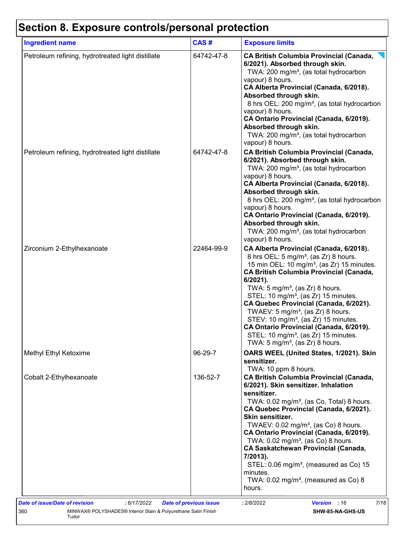# **Section 8. Exposure controls/personal protection**

| <b>Ingredient name</b>                            | CAS#       | <b>Exposure limits</b>                                                                                                                                                                                                                                                                                                                                                                                                                                                                                                                                                                                                 |
|---------------------------------------------------|------------|------------------------------------------------------------------------------------------------------------------------------------------------------------------------------------------------------------------------------------------------------------------------------------------------------------------------------------------------------------------------------------------------------------------------------------------------------------------------------------------------------------------------------------------------------------------------------------------------------------------------|
| Petroleum refining, hydrotreated light distillate | 64742-47-8 | <b>CA British Columbia Provincial (Canada,</b><br>6/2021). Absorbed through skin.<br>TWA: 200 mg/m <sup>3</sup> , (as total hydrocarbon<br>vapour) 8 hours.<br>CA Alberta Provincial (Canada, 6/2018).<br>Absorbed through skin.<br>8 hrs OEL: 200 mg/m <sup>3</sup> , (as total hydrocarbon<br>vapour) 8 hours.<br>CA Ontario Provincial (Canada, 6/2019).<br>Absorbed through skin.<br>TWA: 200 mg/m <sup>3</sup> , (as total hydrocarbon<br>vapour) 8 hours.                                                                                                                                                        |
| Petroleum refining, hydrotreated light distillate | 64742-47-8 | <b>CA British Columbia Provincial (Canada,</b><br>6/2021). Absorbed through skin.<br>TWA: 200 mg/m <sup>3</sup> , (as total hydrocarbon<br>vapour) 8 hours.<br>CA Alberta Provincial (Canada, 6/2018).<br>Absorbed through skin.<br>8 hrs OEL: 200 mg/m <sup>3</sup> , (as total hydrocarbon<br>vapour) 8 hours.<br>CA Ontario Provincial (Canada, 6/2019).<br>Absorbed through skin.<br>TWA: 200 mg/m <sup>3</sup> , (as total hydrocarbon<br>vapour) 8 hours.                                                                                                                                                        |
| Zirconium 2-Ethylhexanoate                        | 22464-99-9 | CA Alberta Provincial (Canada, 6/2018).<br>8 hrs OEL: 5 mg/m <sup>3</sup> , (as Zr) 8 hours.<br>15 min OEL: 10 mg/m <sup>3</sup> , (as Zr) 15 minutes.<br><b>CA British Columbia Provincial (Canada,</b><br>$6/2021$ ).<br>TWA: $5 \text{ mg/m}^3$ , (as Zr) 8 hours.<br>STEL: 10 mg/m <sup>3</sup> , (as Zr) 15 minutes.<br>CA Quebec Provincial (Canada, 6/2021).<br>TWAEV: 5 mg/m <sup>3</sup> , (as Zr) 8 hours.<br>STEV: 10 mg/m <sup>3</sup> , (as Zr) 15 minutes.<br>CA Ontario Provincial (Canada, 6/2019).<br>STEL: 10 mg/m <sup>3</sup> , (as Zr) 15 minutes.<br>TWA: 5 mg/m <sup>3</sup> , (as Zr) 8 hours. |
| Methyl Ethyl Ketoxime                             | 96-29-7    | OARS WEEL (United States, 1/2021). Skin<br>sensitizer.<br>TWA: 10 ppm 8 hours.                                                                                                                                                                                                                                                                                                                                                                                                                                                                                                                                         |
| Cobalt 2-Ethylhexanoate                           | 136-52-7   | <b>CA British Columbia Provincial (Canada,</b><br>6/2021). Skin sensitizer. Inhalation<br>sensitizer.<br>TWA: $0.02$ mg/m <sup>3</sup> , (as Co, Total) 8 hours.<br>CA Quebec Provincial (Canada, 6/2021).<br>Skin sensitizer.<br>TWAEV: $0.02 \text{ mg/m}^3$ , (as Co) 8 hours.<br>CA Ontario Provincial (Canada, 6/2019).<br>TWA: $0.02$ mg/m <sup>3</sup> , (as Co) 8 hours.<br><b>CA Saskatchewan Provincial (Canada,</b><br>7/2013).<br>STEL: $0.06$ mg/m <sup>3</sup> , (measured as Co) 15<br>minutes.<br>TWA: $0.02 \text{ mg/m}^3$ , (measured as Co) 8<br>hours.                                            |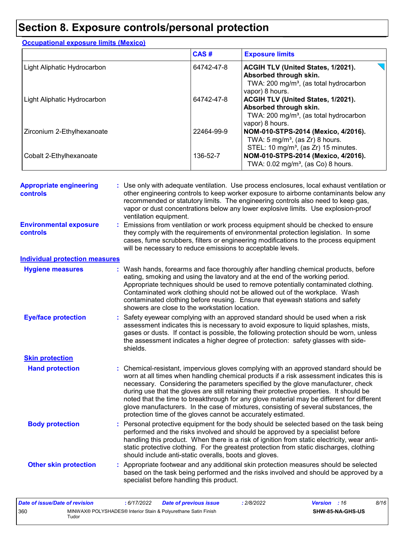### **Section 8. Exposure controls/personal protection**

|                             | CAS#       | <b>Exposure limits</b>                                                                                                                       |
|-----------------------------|------------|----------------------------------------------------------------------------------------------------------------------------------------------|
| Light Aliphatic Hydrocarbon | 64742-47-8 | <b>ACGIH TLV (United States, 1/2021).</b><br>Absorbed through skin.<br>TWA: 200 mg/m <sup>3</sup> , (as total hydrocarbon<br>vapor) 8 hours. |
| Light Aliphatic Hydrocarbon | 64742-47-8 | ACGIH TLV (United States, 1/2021).<br>Absorbed through skin.<br>TWA: 200 mg/m <sup>3</sup> , (as total hydrocarbon<br>vapor) 8 hours.        |
| Zirconium 2-Ethylhexanoate  | 22464-99-9 | NOM-010-STPS-2014 (Mexico, 4/2016).<br>TWA: $5 \text{ mg/m}^3$ , (as Zr) 8 hours.<br>STEL: 10 mg/m <sup>3</sup> , (as Zr) 15 minutes.        |
| Cobalt 2-Ethylhexanoate     | 136-52-7   | NOM-010-STPS-2014 (Mexico, 4/2016).<br>TWA: 0.02 mg/m <sup>3</sup> , (as Co) 8 hours.                                                        |

**Hand protection** : Chemical-resistant, impervious gloves complying with an approved standard should be **inverted** worn at all times when handling chemical products if a risk assessment indicates this is necessary. Considering the parameters specified by the glove manufacturer, check during use that the gloves are still retaining their protective properties. It should be noted that the time to breakthrough for any glove material may be different for different glove manufacturers. In the case of mixtures, consisting of several substances, the protection time of the gloves cannot be accurately estimated. Safety eyewear complying with an approved standard should be used when a risk **:** assessment indicates this is necessary to avoid exposure to liquid splashes, mists, gases or dusts. If contact is possible, the following protection should be worn, unless the assessment indicates a higher degree of protection: safety glasses with sideshields. **Eye/face protection Body protection** : Personal protective equipment for the body should be selected based on the task being **Body** performed and the risks involved and should be approved by a specialist before handling this product. When there is a risk of ignition from static electricity, wear antistatic protective clothing. For the greatest protection from static discharges, clothing should include anti-static overalls, boots and gloves. Emissions from ventilation or work process equipment should be checked to ensure **:** they comply with the requirements of environmental protection legislation. In some cases, fume scrubbers, filters or engineering modifications to the process equipment will be necessary to reduce emissions to acceptable levels. **Appropriate engineering controls :** Use only with adequate ventilation. Use process enclosures, local exhaust ventilation or other engineering controls to keep worker exposure to airborne contaminants below any recommended or statutory limits. The engineering controls also need to keep gas, vapor or dust concentrations below any lower explosive limits. Use explosion-proof ventilation equipment. Wash hands, forearms and face thoroughly after handling chemical products, before eating, smoking and using the lavatory and at the end of the working period. Appropriate techniques should be used to remove potentially contaminated clothing. Contaminated work clothing should not be allowed out of the workplace. Wash contaminated clothing before reusing. Ensure that eyewash stations and safety showers are close to the workstation location. **Hygiene measures : Individual protection measures Skin protection Other skin protection :** Appropriate footwear and any additional skin protection measures should be selected based on the task being performed and the risks involved and should be approved by a specialist before handling this product. **Environmental exposure controls**

| Date of issue/Date of revision |       | : 6/17/2022 | <b>Date of previous issue</b>                                  | 2/8/2022 | <b>Version</b> : 16 |                         | 8/16 |
|--------------------------------|-------|-------------|----------------------------------------------------------------|----------|---------------------|-------------------------|------|
| 360                            | Tudor |             | MINWAX® POLYSHADES® Interior Stain & Polyurethane Satin Finish |          |                     | <b>SHW-85-NA-GHS-US</b> |      |

#### **Occupational exposure limits (Mexico)**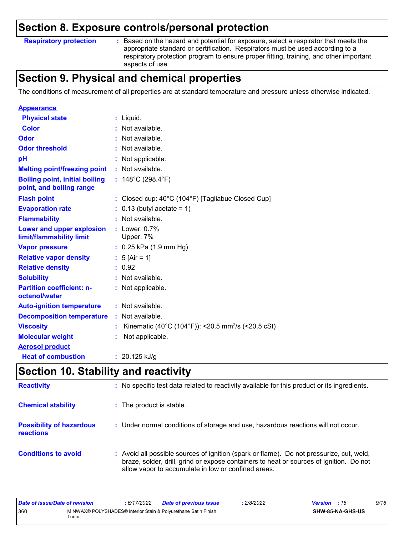### **Section 8. Exposure controls/personal protection**

**Respiratory protection :**

Based on the hazard and potential for exposure, select a respirator that meets the appropriate standard or certification. Respirators must be used according to a respiratory protection program to ensure proper fitting, training, and other important aspects of use.

### **Section 9. Physical and chemical properties**

The conditions of measurement of all properties are at standard temperature and pressure unless otherwise indicated.

| <b>Appearance</b>                                                 |                                                                |
|-------------------------------------------------------------------|----------------------------------------------------------------|
| <b>Physical state</b>                                             | : Liquid.                                                      |
| <b>Color</b>                                                      | : Not available.                                               |
| Odor                                                              | : Not available.                                               |
| <b>Odor threshold</b>                                             | : Not available.                                               |
| pH                                                                | : Not applicable.                                              |
| <b>Melting point/freezing point</b>                               | : Not available.                                               |
| <b>Boiling point, initial boiling</b><br>point, and boiling range | : $148^{\circ}$ C (298.4 $^{\circ}$ F)                         |
| <b>Flash point</b>                                                | : Closed cup: 40°C (104°F) [Tagliabue Closed Cup]              |
| <b>Evaporation rate</b>                                           | $: 0.13$ (butyl acetate = 1)                                   |
| <b>Flammability</b>                                               | : Not available.                                               |
| Lower and upper explosion<br>limit/flammability limit             | : Lower: $0.7\%$<br>Upper: 7%                                  |
| <b>Vapor pressure</b>                                             | $: 0.25$ kPa (1.9 mm Hg)                                       |
| <b>Relative vapor density</b>                                     | : $5$ [Air = 1]                                                |
| <b>Relative density</b>                                           | : 0.92                                                         |
| <b>Solubility</b>                                                 | : Not available.                                               |
| <b>Partition coefficient: n-</b><br>octanol/water                 | : Not applicable.                                              |
| <b>Auto-ignition temperature</b>                                  | : Not available.                                               |
| <b>Decomposition temperature</b>                                  | : Not available.                                               |
| <b>Viscosity</b>                                                  | Kinematic (40°C (104°F)): <20.5 mm <sup>2</sup> /s (<20.5 cSt) |
| <b>Molecular weight</b>                                           | Not applicable.                                                |
| <b>Aerosol product</b>                                            |                                                                |
| <b>Heat of combustion</b>                                         | : $20.125$ kJ/g                                                |

### **Section 10. Stability and reactivity**

| <b>Reactivity</b>                            | : No specific test data related to reactivity available for this product or its ingredients.                                                                                                                                               |
|----------------------------------------------|--------------------------------------------------------------------------------------------------------------------------------------------------------------------------------------------------------------------------------------------|
| <b>Chemical stability</b>                    | : The product is stable.                                                                                                                                                                                                                   |
| <b>Possibility of hazardous</b><br>reactions | : Under normal conditions of storage and use, hazardous reactions will not occur.                                                                                                                                                          |
| <b>Conditions to avoid</b>                   | : Avoid all possible sources of ignition (spark or flame). Do not pressurize, cut, weld,<br>braze, solder, drill, grind or expose containers to heat or sources of ignition. Do not<br>allow vapor to accumulate in low or confined areas. |

| Date of issue/Date of revision |       | : 6/17/2022 | <b>Date of previous issue</b>                                  | 2/8/2022 | <b>Version</b> : 16 |                  | 9/16 |
|--------------------------------|-------|-------------|----------------------------------------------------------------|----------|---------------------|------------------|------|
| 360                            | Tudor |             | MINWAX® POLYSHADES® Interior Stain & Polyurethane Satin Finish |          |                     | SHW-85-NA-GHS-US |      |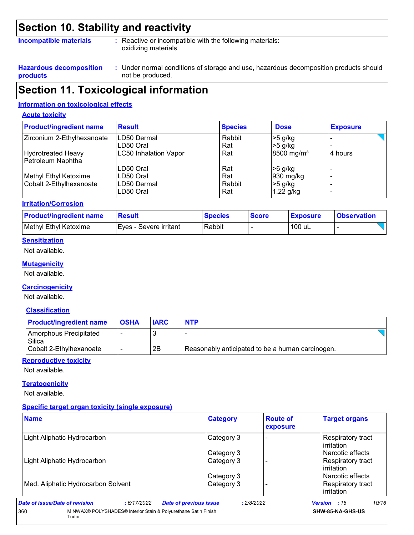### **Section 10. Stability and reactivity**

#### **Incompatible materials :**

: Reactive or incompatible with the following materials: oxidizing materials

**Hazardous decomposition products**

Under normal conditions of storage and use, hazardous decomposition products should **:** not be produced.

### **Section 11. Toxicological information**

#### **Information on toxicological effects**

#### **Acute toxicity**

| <b>Product/ingredient name</b> | <b>Result</b>                | <b>Species</b> | <b>Dose</b>              | <b>Exposure</b> |
|--------------------------------|------------------------------|----------------|--------------------------|-----------------|
| Zirconium 2-Ethylhexanoate     | <b>ILD50 Dermal</b>          | Rabbit         | $>5$ g/kg                |                 |
|                                | ILD50 Oral                   | Rat            | $>5$ g/kg                |                 |
| <b>Hydrotreated Heavy</b>      | <b>LC50 Inhalation Vapor</b> | Rat            | $8500$ mg/m <sup>3</sup> | 14 hours        |
| Petroleum Naphtha              |                              |                |                          |                 |
|                                | LD50 Oral                    | Rat            | $>6$ g/kg                |                 |
| Methyl Ethyl Ketoxime          | ILD50 Oral                   | Rat            | 930 mg/kg                |                 |
| Cobalt 2-Ethylhexanoate        | LD50 Dermal                  | Rabbit         | $>5$ g/kg                |                 |
|                                | LD50 Oral                    | Rat            | 1.22 g/kg                |                 |

#### **Irritation/Corrosion**

| <b>Product/ingredient name</b> | Result                   | <b>Species</b> | <b>Score</b> | <b>Exposure</b> | <b>Observation</b> |
|--------------------------------|--------------------------|----------------|--------------|-----------------|--------------------|
| Methyl Ethyl Ketoxime          | I Eves - Severe irritant | Rabbit         |              | 100 uL          |                    |

#### **Sensitization**

Not available.

#### **Mutagenicity**

Not available.

#### **Carcinogenicity**

Not available.

#### **Classification**

| <b>Product/ingredient name</b>   | <b>OSHA</b> | <b>IARC</b> | <b>NTP</b>                                       |  |
|----------------------------------|-------------|-------------|--------------------------------------------------|--|
| Amorphous Precipitated<br>Silica |             |             |                                                  |  |
| Cobalt 2-Ethylhexanoate          |             | 2B          | Reasonably anticipated to be a human carcinogen. |  |

#### **Reproductive toxicity**

Not available.

#### **Teratogenicity**

Not available.

#### **Specific target organ toxicity (single exposure)**

| <b>Name</b>                                                                    | <b>Category</b>                             | <b>Route of</b><br>exposure | <b>Target organs</b>            |
|--------------------------------------------------------------------------------|---------------------------------------------|-----------------------------|---------------------------------|
| Light Aliphatic Hydrocarbon                                                    | Category 3                                  |                             | Respiratory tract<br>irritation |
|                                                                                | Category 3                                  |                             | l Narcotic effects              |
| Light Aliphatic Hydrocarbon                                                    | Category 3                                  |                             | Respiratory tract<br>irritation |
|                                                                                | Category 3                                  |                             | l Narcotic effects              |
| Med. Aliphatic Hydrocarbon Solvent                                             | Category 3                                  |                             | Respiratory tract<br>irritation |
| Date of issue/Date of revision<br>:6/17/2022                                   | <b>Date of previous issue</b><br>: 2/8/2022 |                             | 10/16<br><b>Version</b> : 16    |
| MINWAX® POLYSHADES® Interior Stain & Polyurethane Satin Finish<br>360<br>Tudor |                                             |                             | SHW-85-NA-GHS-US                |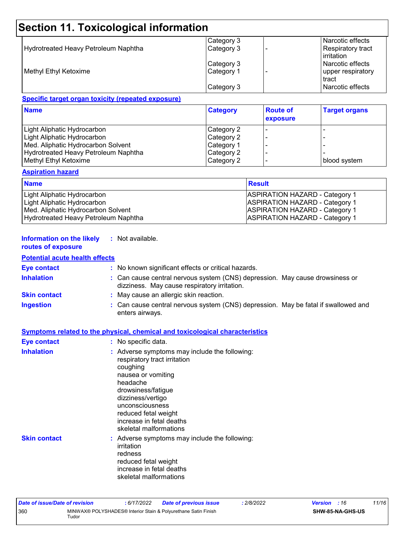# **Section 11. Toxicological information**

|                                      | Category 3 | Narcotic effects                         |
|--------------------------------------|------------|------------------------------------------|
| Hydrotreated Heavy Petroleum Naphtha | Category 3 | <b>Respiratory tract</b><br>l irritation |
|                                      | Category 3 | l Narcotic effects                       |
| Methyl Ethyl Ketoxime                | Category 1 | upper respiratory<br>tract               |
|                                      | Category 3 | Narcotic effects                         |

#### **Specific target organ toxicity (repeated exposure)**

| <b>Name</b>                                 | <b>Category</b> | <b>Route of</b><br>exposure | <b>Target organs</b> |
|---------------------------------------------|-----------------|-----------------------------|----------------------|
| Light Aliphatic Hydrocarbon                 | Category 2      |                             |                      |
| Light Aliphatic Hydrocarbon                 | Category 2      |                             |                      |
| Med. Aliphatic Hydrocarbon Solvent          | Category 1      |                             |                      |
| <b>Hydrotreated Heavy Petroleum Naphtha</b> | Category 2      |                             |                      |
| Methyl Ethyl Ketoxime                       | Category 2      |                             | blood system         |

#### **Aspiration hazard**

| <b>Name</b>                          | Result                                |
|--------------------------------------|---------------------------------------|
| Light Aliphatic Hydrocarbon          | <b>ASPIRATION HAZARD - Category 1</b> |
| Light Aliphatic Hydrocarbon          | <b>ASPIRATION HAZARD - Category 1</b> |
| Med. Aliphatic Hydrocarbon Solvent   | <b>ASPIRATION HAZARD - Category 1</b> |
| Hydrotreated Heavy Petroleum Naphtha | <b>ASPIRATION HAZARD - Category 1</b> |

#### **Information on the likely :** Not available.

### **routes of exposure**

#### **Potential acute health effects**

| <b>Eye contact</b>  | : No known significant effects or critical hazards.                                                                          |
|---------------------|------------------------------------------------------------------------------------------------------------------------------|
| <b>Inhalation</b>   | : Can cause central nervous system (CNS) depression. May cause drowsiness or<br>dizziness. May cause respiratory irritation. |
| <b>Skin contact</b> | : May cause an allergic skin reaction.                                                                                       |
| <b>Ingestion</b>    | : Can cause central nervous system (CNS) depression. May be fatal if swallowed and<br>enters airways.                        |

|                    | <b>Symptoms related to the physical, chemical and toxicological characteristics</b>                                                                                                                               |
|--------------------|-------------------------------------------------------------------------------------------------------------------------------------------------------------------------------------------------------------------|
| <b>Eye contact</b> | : No specific data.                                                                                                                                                                                               |
| <b>Inhalation</b>  | : Adverse symptoms may include the following:<br>respiratory tract irritation<br>coughing<br>nausea or vomiting<br>headache<br>drowsiness/fatigue<br>dizziness/vertigo<br>unconsciousness<br>reduced fetal weight |
|                    | increase in fetal deaths                                                                                                                                                                                          |

## **Skin contact**

| reduced fetal weight<br>increase in fetal deaths<br>skeletal malformations |
|----------------------------------------------------------------------------|
| : Adverse symptoms may include the following:<br>irritation<br>redness     |
| reduced fetal weight                                                       |
| increase in fetal deaths<br>skeletal malformations                         |
|                                                                            |

| Date of issue/Date of revision |             | : 6/17/2022 | Date of previous issue                                         | 2/8/2022 | <b>Version</b> : 16     | 11/16 |
|--------------------------------|-------------|-------------|----------------------------------------------------------------|----------|-------------------------|-------|
| 360                            | $\tau$ udor |             | MINWAX® POLYSHADES® Interior Stain & Polyurethane Satin Finish |          | <b>SHW-85-NA-GHS-US</b> |       |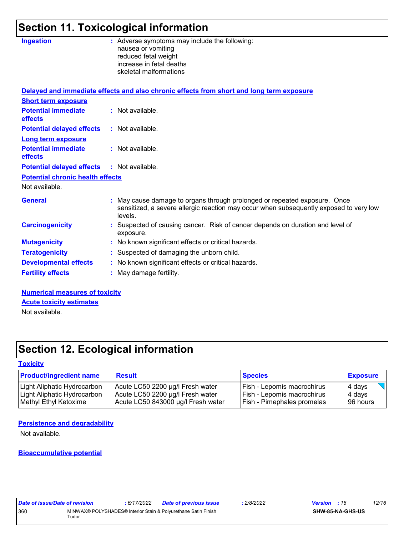# **Section 11. Toxicological information**

| <b>Ingestion</b>                        | : Adverse symptoms may include the following:<br>nausea or vomiting<br>reduced fetal weight<br>increase in fetal deaths<br>skeletal malformations                              |
|-----------------------------------------|--------------------------------------------------------------------------------------------------------------------------------------------------------------------------------|
|                                         | Delayed and immediate effects and also chronic effects from short and long term exposure                                                                                       |
| <b>Short term exposure</b>              |                                                                                                                                                                                |
| <b>Potential immediate</b><br>effects   | : Not available.                                                                                                                                                               |
| <b>Potential delayed effects</b>        | : Not available.                                                                                                                                                               |
| <b>Long term exposure</b>               |                                                                                                                                                                                |
| <b>Potential immediate</b><br>effects   | : Not available.                                                                                                                                                               |
| <b>Potential delayed effects</b>        | : Not available.                                                                                                                                                               |
| <b>Potential chronic health effects</b> |                                                                                                                                                                                |
| Not available.                          |                                                                                                                                                                                |
| <b>General</b>                          | : May cause damage to organs through prolonged or repeated exposure. Once<br>sensitized, a severe allergic reaction may occur when subsequently exposed to very low<br>levels. |
| <b>Carcinogenicity</b>                  | : Suspected of causing cancer. Risk of cancer depends on duration and level of<br>exposure.                                                                                    |
| <b>Mutagenicity</b>                     | : No known significant effects or critical hazards.                                                                                                                            |
| <b>Teratogenicity</b>                   | : Suspected of damaging the unborn child.                                                                                                                                      |
| <b>Developmental effects</b>            | : No known significant effects or critical hazards.                                                                                                                            |
| <b>Fertility effects</b>                | : May damage fertility.                                                                                                                                                        |
| Numerical measonness of taxisity        |                                                                                                                                                                                |

**Numerical measures of toxicity** Not available. **Acute toxicity estimates**

# **Section 12. Ecological information**

#### **Toxicity**

| <b>Product/ingredient name</b> | <b>Result</b>                      | <b>Species</b>                    | <b>Exposure</b> |
|--------------------------------|------------------------------------|-----------------------------------|-----------------|
| Light Aliphatic Hydrocarbon    | Acute LC50 2200 µg/l Fresh water   | <b>Fish - Lepomis macrochirus</b> | $\vert$ 4 days  |
| Light Aliphatic Hydrocarbon    | Acute LC50 2200 µg/l Fresh water   | <b>Fish - Lepomis macrochirus</b> | 4 days          |
| Methyl Ethyl Ketoxime          | Acute LC50 843000 µg/l Fresh water | <b>Fish - Pimephales promelas</b> | 196 hours       |

#### **Persistence and degradability**

Not available.

#### **Bioaccumulative potential**

| Date of issue/Date of revision |       | : 6/17/2022 | Date of previous issue                                         | : 2/8/2022 | <b>Version</b> : 16 |                  | 12/16 |
|--------------------------------|-------|-------------|----------------------------------------------------------------|------------|---------------------|------------------|-------|
| 360                            | Tudor |             | MINWAX® POLYSHADES® Interior Stain & Polyurethane Satin Finish |            |                     | SHW-85-NA-GHS-US |       |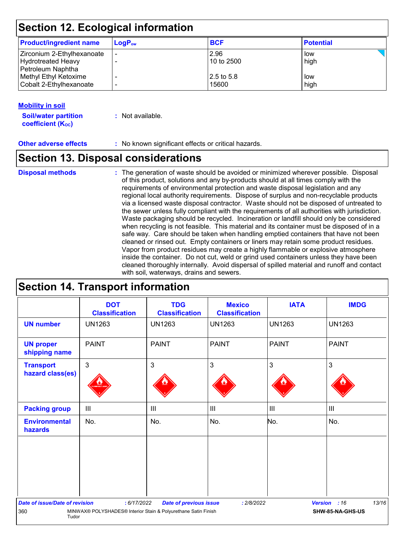### **Section 12. Ecological information**

| <b>Product/ingredient name</b> | $LogP_{ow}$ | <b>BCF</b>   | <b>Potential</b> |  |
|--------------------------------|-------------|--------------|------------------|--|
| Zirconium 2-Ethylhexanoate     | ۰           | 2.96         | low              |  |
| Hydrotreated Heavy             |             | $10$ to 2500 | high             |  |
| Petroleum Naphtha              |             |              |                  |  |
| Methyl Ethyl Ketoxime          |             | 12.5 to 5.8  | low              |  |
| Cobalt 2-Ethylhexanoate        |             | 15600        | high             |  |

#### **Mobility in soil**

**Soil/water partition coefficient (KOC) :** Not available.

**Other adverse effects** : No known significant effects or critical hazards.

### **Section 13. Disposal considerations**

**Disposal methods :**

The generation of waste should be avoided or minimized wherever possible. Disposal of this product, solutions and any by-products should at all times comply with the requirements of environmental protection and waste disposal legislation and any regional local authority requirements. Dispose of surplus and non-recyclable products via a licensed waste disposal contractor. Waste should not be disposed of untreated to the sewer unless fully compliant with the requirements of all authorities with jurisdiction. Waste packaging should be recycled. Incineration or landfill should only be considered when recycling is not feasible. This material and its container must be disposed of in a safe way. Care should be taken when handling emptied containers that have not been cleaned or rinsed out. Empty containers or liners may retain some product residues. Vapor from product residues may create a highly flammable or explosive atmosphere inside the container. Do not cut, weld or grind used containers unless they have been cleaned thoroughly internally. Avoid dispersal of spilled material and runoff and contact with soil, waterways, drains and sewers.

### **Section 14. Transport information**

|                                       | <b>DOT</b><br><b>Classification</b>                            | <b>TDG</b><br><b>Classification</b> | <b>Mexico</b><br><b>Classification</b> | <b>IATA</b>    | <b>IMDG</b>           |
|---------------------------------------|----------------------------------------------------------------|-------------------------------------|----------------------------------------|----------------|-----------------------|
| <b>UN number</b>                      | <b>UN1263</b>                                                  | <b>UN1263</b>                       | <b>UN1263</b>                          | <b>UN1263</b>  | <b>UN1263</b>         |
| <b>UN proper</b><br>shipping name     | <b>PAINT</b>                                                   | <b>PAINT</b>                        | <b>PAINT</b>                           | <b>PAINT</b>   | <b>PAINT</b>          |
| <b>Transport</b><br>hazard class(es)  | $\mathfrak{B}$                                                 | 3                                   | 3                                      | $\mathbf{3}$   | 3                     |
| <b>Packing group</b>                  | III                                                            | III                                 | III                                    | $\mathbf{III}$ | $\mathbf{III}$        |
| <b>Environmental</b><br>hazards       | No.                                                            | No.                                 | No.                                    | No.            | No.                   |
|                                       |                                                                |                                     |                                        |                |                       |
| <b>Date of issue/Date of revision</b> | : 6/17/2022                                                    | <b>Date of previous issue</b>       | : 2/8/2022                             |                | 13/16<br>Version : 16 |
| 360<br>Tudor                          | MINWAX® POLYSHADES® Interior Stain & Polyurethane Satin Finish |                                     |                                        |                | SHW-85-NA-GHS-US      |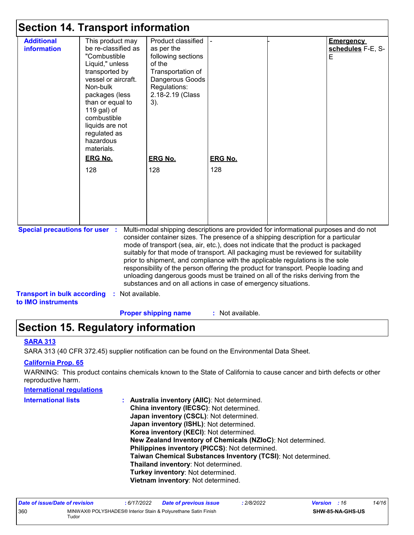### **Section 14. Transport information**

|                                       | OGCGON TT. TIQNOPOR MIONIKAGON                                                                                                                                                                                                                                                             |                                                                                                                                                                                                                                                                                                                                                                                                                                                                                                                                                                                                                                                                                     |                       |                                            |
|---------------------------------------|--------------------------------------------------------------------------------------------------------------------------------------------------------------------------------------------------------------------------------------------------------------------------------------------|-------------------------------------------------------------------------------------------------------------------------------------------------------------------------------------------------------------------------------------------------------------------------------------------------------------------------------------------------------------------------------------------------------------------------------------------------------------------------------------------------------------------------------------------------------------------------------------------------------------------------------------------------------------------------------------|-----------------------|--------------------------------------------|
| <b>Additional</b><br>information      | This product may<br>be re-classified as<br>"Combustible<br>Liquid," unless<br>transported by<br>vessel or aircraft.<br>Non-bulk<br>packages (less<br>than or equal to<br>119 gal) of<br>combustible<br>liquids are not<br>regulated as<br>hazardous<br>materials.<br><b>ERG No.</b><br>128 | Product classified<br>as per the<br>following sections<br>of the<br>Transportation of<br>Dangerous Goods<br>Regulations:<br>2.18-2.19 (Class<br>$3)$ .<br><b>ERG No.</b><br>128                                                                                                                                                                                                                                                                                                                                                                                                                                                                                                     | <b>ERG No.</b><br>128 | <b>Emergency</b><br>schedules F-E, S-<br>Е |
| <b>Special precautions for user :</b> |                                                                                                                                                                                                                                                                                            | Multi-modal shipping descriptions are provided for informational purposes and do not<br>consider container sizes. The presence of a shipping description for a particular<br>mode of transport (sea, air, etc.), does not indicate that the product is packaged<br>suitably for that mode of transport. All packaging must be reviewed for suitability<br>prior to shipment, and compliance with the applicable regulations is the sole<br>responsibility of the person offering the product for transport. People loading and<br>unloading dangerous goods must be trained on all of the risks deriving from the<br>substances and on all actions in case of emergency situations. |                       |                                            |
| <b>Transport in bulk according</b>    | Not available.                                                                                                                                                                                                                                                                             |                                                                                                                                                                                                                                                                                                                                                                                                                                                                                                                                                                                                                                                                                     |                       |                                            |

**to IMO instruments**

**Proper shipping name :**

: Not available.

### **Section 15. Regulatory information**

#### **SARA 313**

SARA 313 (40 CFR 372.45) supplier notification can be found on the Environmental Data Sheet.

#### **California Prop. 65**

WARNING: This product contains chemicals known to the State of California to cause cancer and birth defects or other reproductive harm.

# **International regulations International lists :**

**Australia inventory (AIIC)**: Not determined. **China inventory (IECSC)**: Not determined. **Japan inventory (CSCL)**: Not determined. **Japan inventory (ISHL)**: Not determined. **Korea inventory (KECI)**: Not determined. **New Zealand Inventory of Chemicals (NZIoC)**: Not determined. **Philippines inventory (PICCS)**: Not determined. **Taiwan Chemical Substances Inventory (TCSI)**: Not determined. **Thailand inventory**: Not determined. **Turkey inventory**: Not determined. **Vietnam inventory**: Not determined.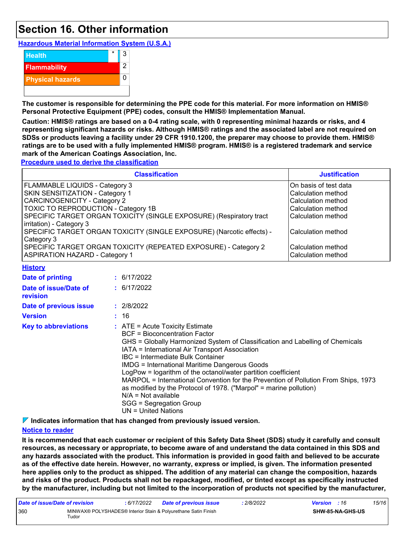### **Section 16. Other information**

**Hazardous Material Information System (U.S.A.)**



**The customer is responsible for determining the PPE code for this material. For more information on HMIS® Personal Protective Equipment (PPE) codes, consult the HMIS® Implementation Manual.**

**Caution: HMIS® ratings are based on a 0-4 rating scale, with 0 representing minimal hazards or risks, and 4 representing significant hazards or risks. Although HMIS® ratings and the associated label are not required on SDSs or products leaving a facility under 29 CFR 1910.1200, the preparer may choose to provide them. HMIS® ratings are to be used with a fully implemented HMIS® program. HMIS® is a registered trademark and service mark of the American Coatings Association, Inc.**

**Procedure used to derive the classification**

| <b>Classification</b>                                                                                    | <b>Justification</b>                              |
|----------------------------------------------------------------------------------------------------------|---------------------------------------------------|
| <b>FLAMMABLE LIQUIDS - Category 3</b>                                                                    | On basis of test data                             |
| SKIN SENSITIZATION - Category 1                                                                          | Calculation method                                |
| <b>CARCINOGENICITY - Category 2</b>                                                                      | Calculation method                                |
| TOXIC TO REPRODUCTION - Category 1B                                                                      | Calculation method                                |
| SPECIFIC TARGET ORGAN TOXICITY (SINGLE EXPOSURE) (Respiratory tract<br>irritation) - Category 3          | Calculation method                                |
| SPECIFIC TARGET ORGAN TOXICITY (SINGLE EXPOSURE) (Narcotic effects) -<br>Category 3                      | lCalculation method                               |
| SPECIFIC TARGET ORGAN TOXICITY (REPEATED EXPOSURE) - Category 2<br><b>ASPIRATION HAZARD - Category 1</b> | l Calculation method<br><b>Calculation method</b> |

|  |  |  |  |  |  |  |  |  |  |  |  |  |  |  |  |  |  |  |  |  |  |  |  |  |  |  |  |  |  |  |  |  |  |  |  |  |  |  | <b>History</b> |  |  |  |  |  |  |  |
|--|--|--|--|--|--|--|--|--|--|--|--|--|--|--|--|--|--|--|--|--|--|--|--|--|--|--|--|--|--|--|--|--|--|--|--|--|--|--|----------------|--|--|--|--|--|--|--|
|  |  |  |  |  |  |  |  |  |  |  |  |  |  |  |  |  |  |  |  |  |  |  |  |  |  |  |  |  |  |  |  |  |  |  |  |  |  |  |                |  |  |  |  |  |  |  |
|  |  |  |  |  |  |  |  |  |  |  |  |  |  |  |  |  |  |  |  |  |  |  |  |  |  |  |  |  |  |  |  |  |  |  |  |  |  |  |                |  |  |  |  |  |  |  |
|  |  |  |  |  |  |  |  |  |  |  |  |  |  |  |  |  |  |  |  |  |  |  |  |  |  |  |  |  |  |  |  |  |  |  |  |  |  |  |                |  |  |  |  |  |  |  |
|  |  |  |  |  |  |  |  |  |  |  |  |  |  |  |  |  |  |  |  |  |  |  |  |  |  |  |  |  |  |  |  |  |  |  |  |  |  |  |                |  |  |  |  |  |  |  |
|  |  |  |  |  |  |  |  |  |  |  |  |  |  |  |  |  |  |  |  |  |  |  |  |  |  |  |  |  |  |  |  |  |  |  |  |  |  |  |                |  |  |  |  |  |  |  |
|  |  |  |  |  |  |  |  |  |  |  |  |  |  |  |  |  |  |  |  |  |  |  |  |  |  |  |  |  |  |  |  |  |  |  |  |  |  |  |                |  |  |  |  |  |  |  |
|  |  |  |  |  |  |  |  |  |  |  |  |  |  |  |  |  |  |  |  |  |  |  |  |  |  |  |  |  |  |  |  |  |  |  |  |  |  |  |                |  |  |  |  |  |  |  |
|  |  |  |  |  |  |  |  |  |  |  |  |  |  |  |  |  |  |  |  |  |  |  |  |  |  |  |  |  |  |  |  |  |  |  |  |  |  |  |                |  |  |  |  |  |  |  |
|  |  |  |  |  |  |  |  |  |  |  |  |  |  |  |  |  |  |  |  |  |  |  |  |  |  |  |  |  |  |  |  |  |  |  |  |  |  |  |                |  |  |  |  |  |  |  |
|  |  |  |  |  |  |  |  |  |  |  |  |  |  |  |  |  |  |  |  |  |  |  |  |  |  |  |  |  |  |  |  |  |  |  |  |  |  |  |                |  |  |  |  |  |  |  |
|  |  |  |  |  |  |  |  |  |  |  |  |  |  |  |  |  |  |  |  |  |  |  |  |  |  |  |  |  |  |  |  |  |  |  |  |  |  |  |                |  |  |  |  |  |  |  |
|  |  |  |  |  |  |  |  |  |  |  |  |  |  |  |  |  |  |  |  |  |  |  |  |  |  |  |  |  |  |  |  |  |  |  |  |  |  |  |                |  |  |  |  |  |  |  |
|  |  |  |  |  |  |  |  |  |  |  |  |  |  |  |  |  |  |  |  |  |  |  |  |  |  |  |  |  |  |  |  |  |  |  |  |  |  |  |                |  |  |  |  |  |  |  |
|  |  |  |  |  |  |  |  |  |  |  |  |  |  |  |  |  |  |  |  |  |  |  |  |  |  |  |  |  |  |  |  |  |  |  |  |  |  |  |                |  |  |  |  |  |  |  |
|  |  |  |  |  |  |  |  |  |  |  |  |  |  |  |  |  |  |  |  |  |  |  |  |  |  |  |  |  |  |  |  |  |  |  |  |  |  |  |                |  |  |  |  |  |  |  |
|  |  |  |  |  |  |  |  |  |  |  |  |  |  |  |  |  |  |  |  |  |  |  |  |  |  |  |  |  |  |  |  |  |  |  |  |  |  |  |                |  |  |  |  |  |  |  |
|  |  |  |  |  |  |  |  |  |  |  |  |  |  |  |  |  |  |  |  |  |  |  |  |  |  |  |  |  |  |  |  |  |  |  |  |  |  |  |                |  |  |  |  |  |  |  |
|  |  |  |  |  |  |  |  |  |  |  |  |  |  |  |  |  |  |  |  |  |  |  |  |  |  |  |  |  |  |  |  |  |  |  |  |  |  |  |                |  |  |  |  |  |  |  |
|  |  |  |  |  |  |  |  |  |  |  |  |  |  |  |  |  |  |  |  |  |  |  |  |  |  |  |  |  |  |  |  |  |  |  |  |  |  |  |                |  |  |  |  |  |  |  |
|  |  |  |  |  |  |  |  |  |  |  |  |  |  |  |  |  |  |  |  |  |  |  |  |  |  |  |  |  |  |  |  |  |  |  |  |  |  |  |                |  |  |  |  |  |  |  |
|  |  |  |  |  |  |  |  |  |  |  |  |  |  |  |  |  |  |  |  |  |  |  |  |  |  |  |  |  |  |  |  |  |  |  |  |  |  |  |                |  |  |  |  |  |  |  |
|  |  |  |  |  |  |  |  |  |  |  |  |  |  |  |  |  |  |  |  |  |  |  |  |  |  |  |  |  |  |  |  |  |  |  |  |  |  |  |                |  |  |  |  |  |  |  |
|  |  |  |  |  |  |  |  |  |  |  |  |  |  |  |  |  |  |  |  |  |  |  |  |  |  |  |  |  |  |  |  |  |  |  |  |  |  |  |                |  |  |  |  |  |  |  |
|  |  |  |  |  |  |  |  |  |  |  |  |  |  |  |  |  |  |  |  |  |  |  |  |  |  |  |  |  |  |  |  |  |  |  |  |  |  |  |                |  |  |  |  |  |  |  |
|  |  |  |  |  |  |  |  |  |  |  |  |  |  |  |  |  |  |  |  |  |  |  |  |  |  |  |  |  |  |  |  |  |  |  |  |  |  |  |                |  |  |  |  |  |  |  |
|  |  |  |  |  |  |  |  |  |  |  |  |  |  |  |  |  |  |  |  |  |  |  |  |  |  |  |  |  |  |  |  |  |  |  |  |  |  |  |                |  |  |  |  |  |  |  |
|  |  |  |  |  |  |  |  |  |  |  |  |  |  |  |  |  |  |  |  |  |  |  |  |  |  |  |  |  |  |  |  |  |  |  |  |  |  |  |                |  |  |  |  |  |  |  |
|  |  |  |  |  |  |  |  |  |  |  |  |  |  |  |  |  |  |  |  |  |  |  |  |  |  |  |  |  |  |  |  |  |  |  |  |  |  |  |                |  |  |  |  |  |  |  |
|  |  |  |  |  |  |  |  |  |  |  |  |  |  |  |  |  |  |  |  |  |  |  |  |  |  |  |  |  |  |  |  |  |  |  |  |  |  |  |                |  |  |  |  |  |  |  |
|  |  |  |  |  |  |  |  |  |  |  |  |  |  |  |  |  |  |  |  |  |  |  |  |  |  |  |  |  |  |  |  |  |  |  |  |  |  |  |                |  |  |  |  |  |  |  |
|  |  |  |  |  |  |  |  |  |  |  |  |  |  |  |  |  |  |  |  |  |  |  |  |  |  |  |  |  |  |  |  |  |  |  |  |  |  |  |                |  |  |  |  |  |  |  |
|  |  |  |  |  |  |  |  |  |  |  |  |  |  |  |  |  |  |  |  |  |  |  |  |  |  |  |  |  |  |  |  |  |  |  |  |  |  |  |                |  |  |  |  |  |  |  |
|  |  |  |  |  |  |  |  |  |  |  |  |  |  |  |  |  |  |  |  |  |  |  |  |  |  |  |  |  |  |  |  |  |  |  |  |  |  |  |                |  |  |  |  |  |  |  |
|  |  |  |  |  |  |  |  |  |  |  |  |  |  |  |  |  |  |  |  |  |  |  |  |  |  |  |  |  |  |  |  |  |  |  |  |  |  |  |                |  |  |  |  |  |  |  |
|  |  |  |  |  |  |  |  |  |  |  |  |  |  |  |  |  |  |  |  |  |  |  |  |  |  |  |  |  |  |  |  |  |  |  |  |  |  |  |                |  |  |  |  |  |  |  |
|  |  |  |  |  |  |  |  |  |  |  |  |  |  |  |  |  |  |  |  |  |  |  |  |  |  |  |  |  |  |  |  |  |  |  |  |  |  |  |                |  |  |  |  |  |  |  |
|  |  |  |  |  |  |  |  |  |  |  |  |  |  |  |  |  |  |  |  |  |  |  |  |  |  |  |  |  |  |  |  |  |  |  |  |  |  |  |                |  |  |  |  |  |  |  |
|  |  |  |  |  |  |  |  |  |  |  |  |  |  |  |  |  |  |  |  |  |  |  |  |  |  |  |  |  |  |  |  |  |  |  |  |  |  |  |                |  |  |  |  |  |  |  |
|  |  |  |  |  |  |  |  |  |  |  |  |  |  |  |  |  |  |  |  |  |  |  |  |  |  |  |  |  |  |  |  |  |  |  |  |  |  |  |                |  |  |  |  |  |  |  |
|  |  |  |  |  |  |  |  |  |  |  |  |  |  |  |  |  |  |  |  |  |  |  |  |  |  |  |  |  |  |  |  |  |  |  |  |  |  |  |                |  |  |  |  |  |  |  |
|  |  |  |  |  |  |  |  |  |  |  |  |  |  |  |  |  |  |  |  |  |  |  |  |  |  |  |  |  |  |  |  |  |  |  |  |  |  |  |                |  |  |  |  |  |  |  |
|  |  |  |  |  |  |  |  |  |  |  |  |  |  |  |  |  |  |  |  |  |  |  |  |  |  |  |  |  |  |  |  |  |  |  |  |  |  |  |                |  |  |  |  |  |  |  |
|  |  |  |  |  |  |  |  |  |  |  |  |  |  |  |  |  |  |  |  |  |  |  |  |  |  |  |  |  |  |  |  |  |  |  |  |  |  |  |                |  |  |  |  |  |  |  |
|  |  |  |  |  |  |  |  |  |  |  |  |  |  |  |  |  |  |  |  |  |  |  |  |  |  |  |  |  |  |  |  |  |  |  |  |  |  |  |                |  |  |  |  |  |  |  |
|  |  |  |  |  |  |  |  |  |  |  |  |  |  |  |  |  |  |  |  |  |  |  |  |  |  |  |  |  |  |  |  |  |  |  |  |  |  |  |                |  |  |  |  |  |  |  |
|  |  |  |  |  |  |  |  |  |  |  |  |  |  |  |  |  |  |  |  |  |  |  |  |  |  |  |  |  |  |  |  |  |  |  |  |  |  |  |                |  |  |  |  |  |  |  |
|  |  |  |  |  |  |  |  |  |  |  |  |  |  |  |  |  |  |  |  |  |  |  |  |  |  |  |  |  |  |  |  |  |  |  |  |  |  |  |                |  |  |  |  |  |  |  |
|  |  |  |  |  |  |  |  |  |  |  |  |  |  |  |  |  |  |  |  |  |  |  |  |  |  |  |  |  |  |  |  |  |  |  |  |  |  |  |                |  |  |  |  |  |  |  |
|  |  |  |  |  |  |  |  |  |  |  |  |  |  |  |  |  |  |  |  |  |  |  |  |  |  |  |  |  |  |  |  |  |  |  |  |  |  |  |                |  |  |  |  |  |  |  |
|  |  |  |  |  |  |  |  |  |  |  |  |  |  |  |  |  |  |  |  |  |  |  |  |  |  |  |  |  |  |  |  |  |  |  |  |  |  |  |                |  |  |  |  |  |  |  |
|  |  |  |  |  |  |  |  |  |  |  |  |  |  |  |  |  |  |  |  |  |  |  |  |  |  |  |  |  |  |  |  |  |  |  |  |  |  |  |                |  |  |  |  |  |  |  |
|  |  |  |  |  |  |  |  |  |  |  |  |  |  |  |  |  |  |  |  |  |  |  |  |  |  |  |  |  |  |  |  |  |  |  |  |  |  |  |                |  |  |  |  |  |  |  |
|  |  |  |  |  |  |  |  |  |  |  |  |  |  |  |  |  |  |  |  |  |  |  |  |  |  |  |  |  |  |  |  |  |  |  |  |  |  |  |                |  |  |  |  |  |  |  |

| <b>Date of printing</b>                  | $\div$ 6/17/2022                                                                                                                                                                                                                                                                                                                                                                                                                                                                                                                                                                                                      |
|------------------------------------------|-----------------------------------------------------------------------------------------------------------------------------------------------------------------------------------------------------------------------------------------------------------------------------------------------------------------------------------------------------------------------------------------------------------------------------------------------------------------------------------------------------------------------------------------------------------------------------------------------------------------------|
| Date of issue/Date of<br><b>revision</b> | : 6/17/2022                                                                                                                                                                                                                                                                                                                                                                                                                                                                                                                                                                                                           |
| Date of previous issue                   | : 2/8/2022                                                                                                                                                                                                                                                                                                                                                                                                                                                                                                                                                                                                            |
| <b>Version</b>                           | : 16                                                                                                                                                                                                                                                                                                                                                                                                                                                                                                                                                                                                                  |
| <b>Key to abbreviations</b>              | $\therefore$ ATE = Acute Toxicity Estimate<br>BCF = Bioconcentration Factor<br>GHS = Globally Harmonized System of Classification and Labelling of Chemicals<br>IATA = International Air Transport Association<br>IBC = Intermediate Bulk Container<br><b>IMDG = International Maritime Dangerous Goods</b><br>LogPow = logarithm of the octanol/water partition coefficient<br>MARPOL = International Convention for the Prevention of Pollution From Ships, 1973<br>as modified by the Protocol of 1978. ("Marpol" = marine pollution)<br>$N/A = Not available$<br>SGG = Segregation Group<br>$UN = United Nations$ |

**Indicates information that has changed from previously issued version.**

#### **Notice to reader**

**It is recommended that each customer or recipient of this Safety Data Sheet (SDS) study it carefully and consult resources, as necessary or appropriate, to become aware of and understand the data contained in this SDS and any hazards associated with the product. This information is provided in good faith and believed to be accurate as of the effective date herein. However, no warranty, express or implied, is given. The information presented here applies only to the product as shipped. The addition of any material can change the composition, hazards and risks of the product. Products shall not be repackaged, modified, or tinted except as specifically instructed by the manufacturer, including but not limited to the incorporation of products not specified by the manufacturer,**

| Date of issue/Date of revision |             | : 6/17/2022 | <b>Date of previous issue</b>                                  | 2/8/2022 | <b>Version</b> : 16 |                         | 15/16 |
|--------------------------------|-------------|-------------|----------------------------------------------------------------|----------|---------------------|-------------------------|-------|
| 360                            | $\tau$ udor |             | MINWAX® POLYSHADES® Interior Stain & Polyurethane Satin Finish |          |                     | <b>SHW-85-NA-GHS-US</b> |       |